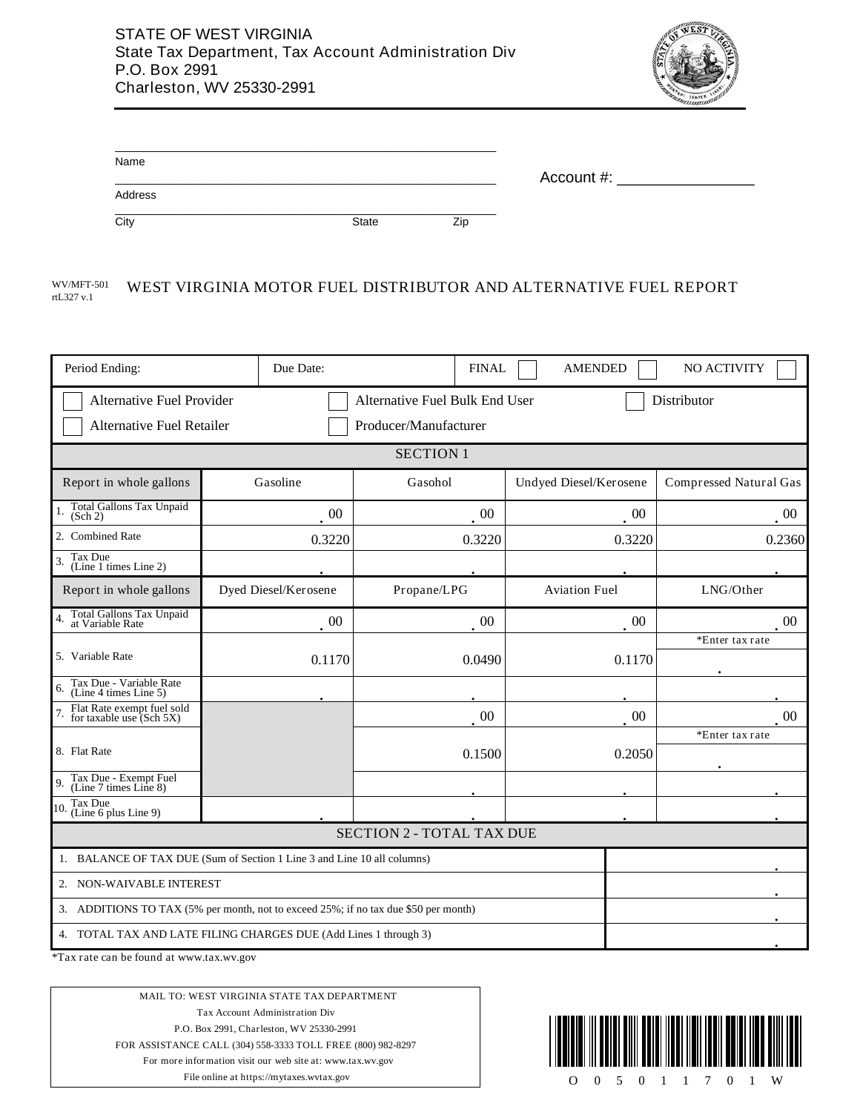

| Name    |       |     | Account $#$ : |  |
|---------|-------|-----|---------------|--|
| Address |       |     |               |  |
| City    | State | Zip |               |  |

#### WV/MFT-501 WEST VIRGINIA MOTOR FUEL DISTRIBUTOR AND ALTERNATIVE FUEL REPORT rtL327 v.1

| Period Ending:                                                                                                                   | Due Date:                                                               | <b>FINAL</b>                     | <b>AMENDED</b>         | NO ACTIVITY            |  |  |
|----------------------------------------------------------------------------------------------------------------------------------|-------------------------------------------------------------------------|----------------------------------|------------------------|------------------------|--|--|
| Alternative Fuel Provider<br>Alternative Fuel Bulk End User<br>Distributor<br>Alternative Fuel Retailer<br>Producer/Manufacturer |                                                                         |                                  |                        |                        |  |  |
| <b>SECTION 1</b>                                                                                                                 |                                                                         |                                  |                        |                        |  |  |
| Report in whole gallons                                                                                                          | Gasoline                                                                | Gasohol                          | Undyed Diesel/Kerosene | Compressed Natural Gas |  |  |
| Total Gallons Tax Unpaid<br>(Sch 2)                                                                                              | 00                                                                      | $00\,$                           | $00\,$                 | $00\,$                 |  |  |
| 2. Combined Rate                                                                                                                 | 0.3220                                                                  | 0.3220                           | 0.3220                 | 0.2360                 |  |  |
| Tax Due<br>3.<br>(Line 1 times Line 2)                                                                                           |                                                                         |                                  |                        |                        |  |  |
| Report in whole gallons                                                                                                          | Dyed Diesel/Kerosene                                                    | Propane/LPG                      | <b>Aviation Fuel</b>   | LNG/Other              |  |  |
| Total Gallons Tax Unpaid<br>at Variable Rate<br>$\overline{4}$                                                                   | 00                                                                      | 00                               | 00                     | $00\,$                 |  |  |
| 5. Variable Rate                                                                                                                 | 0.1170                                                                  | 0.0490                           | 0.1170                 | *Enter tax rate        |  |  |
| Tax Due - Variable Rate<br>(Line 4 times Line 5)<br>6.                                                                           |                                                                         |                                  |                        |                        |  |  |
| Flat Rate exempt fuel sold<br>for taxable use (Sch 5X)                                                                           |                                                                         | $00\,$                           | $00\,$                 | 00                     |  |  |
| 8. Flat Rate                                                                                                                     |                                                                         | 0.1500                           | 0.2050                 | *Enter tax rate        |  |  |
| Tax Due - Exempt Fuel<br>(Line 7 times Line 8)<br>9                                                                              |                                                                         |                                  |                        |                        |  |  |
| Tax Due<br>10<br>(Line 6 plus Line 9)                                                                                            |                                                                         |                                  |                        |                        |  |  |
|                                                                                                                                  |                                                                         | <b>SECTION 2 - TOTAL TAX DUE</b> |                        |                        |  |  |
|                                                                                                                                  | 1. BALANCE OF TAX DUE (Sum of Section 1 Line 3 and Line 10 all columns) |                                  |                        |                        |  |  |
| 2. NON-WAIVABLE INTEREST                                                                                                         |                                                                         |                                  |                        |                        |  |  |
| 3. ADDITIONS TO TAX (5% per month, not to exceed 25%; if no tax due \$50 per month)                                              |                                                                         |                                  |                        |                        |  |  |
|                                                                                                                                  | 4. TOTAL TAX AND LATE FILING CHARGES DUE (Add Lines 1 through 3)        |                                  |                        |                        |  |  |

\*Tax rate can be found at www.tax.wv.gov

MAIL TO: WEST VIRGINIA STATE TAX DEPARTMENT Tax Account Administration Div P.O. Box 2991, Charleston, WV 25330-2991 FOR ASSISTANCE CALL (304) 558-3333 TOLL FREE (800) 982-8297 For more information visit our web site at: www.tax.wv.gov